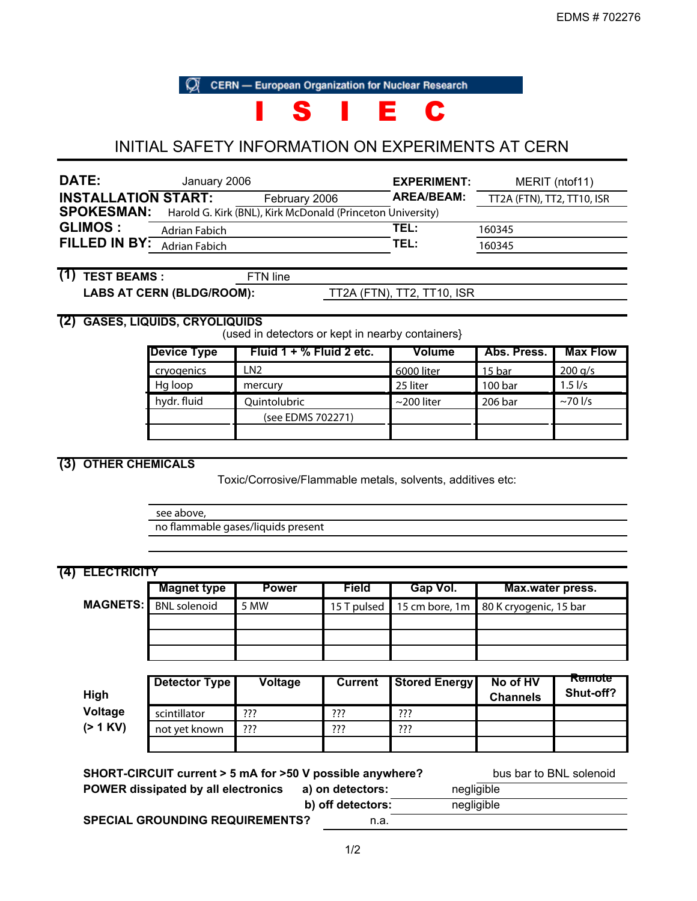**CERN** - European Organization for Nuclear Research

# I S I E C

# INITIAL SAFETY INFORMATION ON EXPERIMENTS AT CERN

| DATE:                      | January 2006         |                                                            | EXPERIMENT: | MERIT (ntof11)             |
|----------------------------|----------------------|------------------------------------------------------------|-------------|----------------------------|
| <b>INSTALLATION START:</b> |                      | February 2006                                              | AREA/BEAM:  | TT2A (FTN), TT2, TT10, ISR |
| <b>SPOKESMAN:</b>          |                      | Harold G. Kirk (BNL), Kirk McDonald (Princeton University) |             |                            |
| <b>GLIMOS :</b>            | Adrian Fabich        |                                                            | TEL:        | 160345                     |
| FILLED IN BY:              | <b>Adrian Fabich</b> |                                                            | TEL:        | 160345                     |
|                            |                      |                                                            |             |                            |

# **(1) TEST BEAMS :** FTN line

LABS AT CERN (BLDG/ROOM): TT2A (FTN), TT2, TT10, ISR

# **(2) GASES, LIQUIDS, CRYOLIQUIDS**

(used in detectors or kept in nearby containers}

| <b>Device Type</b> | Fluid $1 + %$ Fluid 2 etc. | Volume           | Abs. Press. | <b>Max Flow</b>     |
|--------------------|----------------------------|------------------|-------------|---------------------|
| cryogenics         | N <sub>2</sub>             | 6000 liter       | 15 bar      | 200 g/s             |
| Hg loop            | mercury                    | 25 liter         | 100 bar     | $1.5$ $\frac{1}{s}$ |
| hydr. fluid        | Quintolubric               | $\sim$ 200 liter | 206 bar     | $\sim$ 70 l/s       |
|                    | (see EDMS 702271)          |                  |             |                     |
|                    |                            |                  |             |                     |

# **(3) OTHER CHEMICALS**

Toxic/Corrosive/Flammable metals, solvents, additives etc:

see above,

no flammable gases/liquids present

|                 | <b>Magnet type</b>   | <b>Power</b> | <b>Field</b>   | Gap Vol.             | Max.water press.            |                     |
|-----------------|----------------------|--------------|----------------|----------------------|-----------------------------|---------------------|
| <b>MAGNETS:</b> | <b>BNL</b> solenoid  | 5 MW         | 15 T pulsed    | 15 cm bore, 1m       | 80 K cryogenic, 15 bar      |                     |
|                 |                      |              |                |                      |                             |                     |
|                 | <b>Detector Type</b> | Voltage      | <b>Current</b> | <b>Stored Energy</b> | No of HV<br><b>Channels</b> | Remote<br>Shut-off? |
| High            |                      |              |                |                      |                             |                     |
| Voltage         | scintillator         | ???          | ???            | ???                  |                             |                     |
| $(> 1$ KV)      | not yet known        | ???          | ???            | ???                  |                             |                     |

| SHORT-CIRCUIT current > 5 mA for >50 V possible anywhere? |                   | bus bar to BNL solenoid |
|-----------------------------------------------------------|-------------------|-------------------------|
| <b>POWER dissipated by all electronics</b>                | a) on detectors:  | negligible              |
|                                                           | b) off detectors: | negligible              |
| <b>SPECIAL GROUNDING REQUIREMENTS?</b>                    | n.a.              |                         |